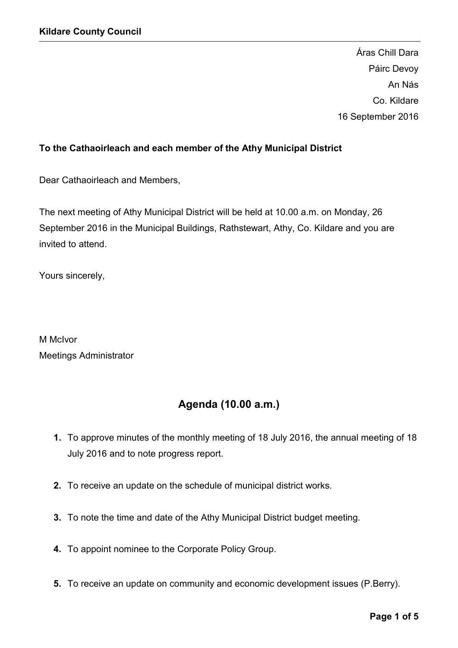Áras Chill Dara Páirc Devoy An Nás Co. Kildare 16 September 2016

## To the Cathaoirleach and each member of the Athy Municipal District

Dear Cathaoirleach and Members,

The next meeting of Athy Municipal District will be held at 10.00 a.m. on Monday, 26 September 2016 in the Municipal Buildings, Rathstewart, Athy, Co. Kildare and you are invited to attend.

Yours sincerely,

M McIvor Meetings Administrator

# Agenda (10.00 a.m.)

- 1. To approve minutes of the monthly meeting of 18 July 2016, the annual meeting of 18 July 2016 and to note progress report.
- 2. To receive an update on the schedule of municipal district works.
- 3. To note the time and date of the Athy Municipal District budget meeting.
- 4. To appoint nominee to the Corporate Policy Group.
- 5. To receive an update on community and economic development issues (P.Berry).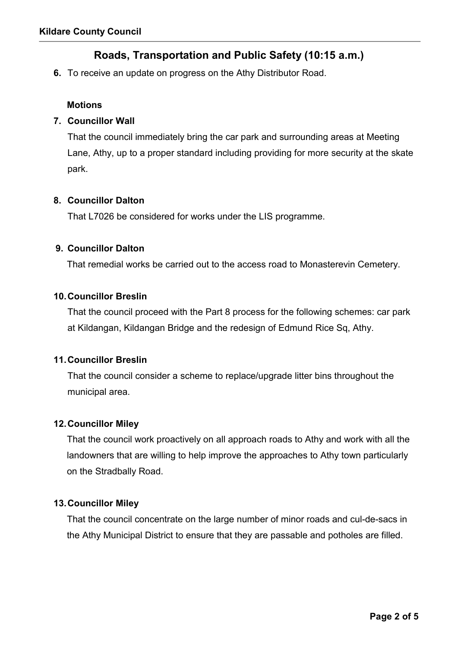# Roads, Transportation and Public Safety (10:15 a.m.)

6. To receive an update on progress on the Athy Distributor Road.

#### **Motions**

### 7. Councillor Wall

That the council immediately bring the car park and surrounding areas at Meeting Lane, Athy, up to a proper standard including providing for more security at the skate park.

#### 8. Councillor Dalton

That L7026 be considered for works under the LIS programme.

#### 9. Councillor Dalton

That remedial works be carried out to the access road to Monasterevin Cemetery.

#### 10.Councillor Breslin

That the council proceed with the Part 8 process for the following schemes: car park at Kildangan, Kildangan Bridge and the redesign of Edmund Rice Sq, Athy.

#### 11.Councillor Breslin

That the council consider a scheme to replace/upgrade litter bins throughout the municipal area.

## 12.Councillor Miley

That the council work proactively on all approach roads to Athy and work with all the landowners that are willing to help improve the approaches to Athy town particularly on the Stradbally Road.

## 13.Councillor Miley

That the council concentrate on the large number of minor roads and cul-de-sacs in the Athy Municipal District to ensure that they are passable and potholes are filled.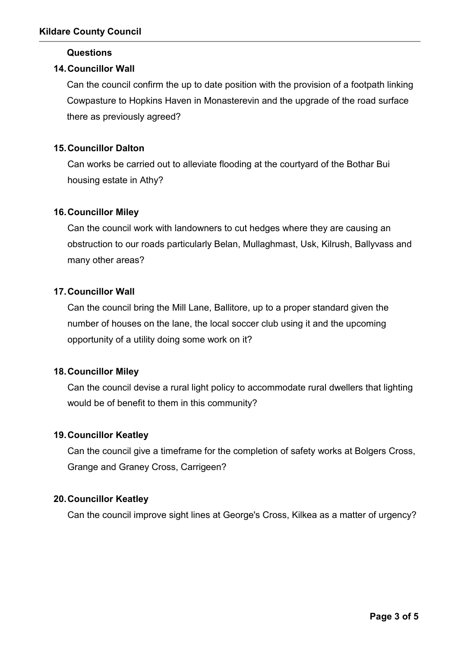### Questions

## 14.Councillor Wall

Can the council confirm the up to date position with the provision of a footpath linking Cowpasture to Hopkins Haven in Monasterevin and the upgrade of the road surface there as previously agreed?

## 15.Councillor Dalton

Can works be carried out to alleviate flooding at the courtyard of the Bothar Bui housing estate in Athy?

## 16.Councillor Miley

Can the council work with landowners to cut hedges where they are causing an obstruction to our roads particularly Belan, Mullaghmast, Usk, Kilrush, Ballyvass and many other areas?

## 17.Councillor Wall

Can the council bring the Mill Lane, Ballitore, up to a proper standard given the number of houses on the lane, the local soccer club using it and the upcoming opportunity of a utility doing some work on it?

## 18.Councillor Miley

Can the council devise a rural light policy to accommodate rural dwellers that lighting would be of benefit to them in this community?

## 19.Councillor Keatley

Can the council give a timeframe for the completion of safety works at Bolgers Cross, Grange and Graney Cross, Carrigeen?

## 20.Councillor Keatley

Can the council improve sight lines at George's Cross, Kilkea as a matter of urgency?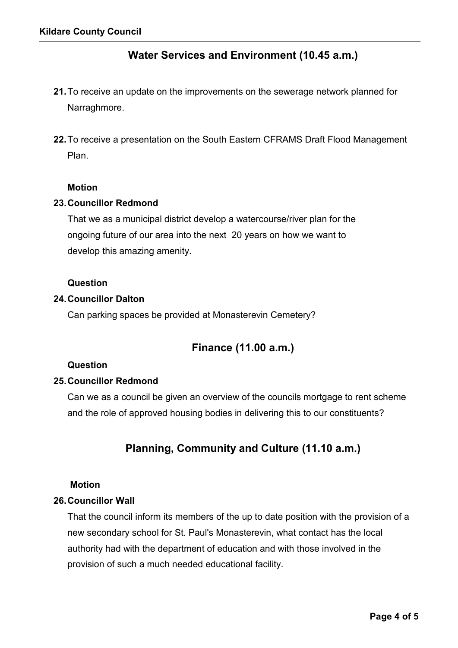## Water Services and Environment (10.45 a.m.)

- 21.To receive an update on the improvements on the sewerage network planned for Narraghmore.
- 22. To receive a presentation on the South Eastern CFRAMS Draft Flood Management Plan.

#### Motion

#### 23.Councillor Redmond

That we as a municipal district develop a watercourse/river plan for the ongoing future of our area into the next 20 years on how we want to develop this amazing amenity.

#### Question

#### 24.Councillor Dalton

Can parking spaces be provided at Monasterevin Cemetery?

## Finance (11.00 a.m.)

#### Question

#### 25.Councillor Redmond

Can we as a council be given an overview of the councils mortgage to rent scheme and the role of approved housing bodies in delivering this to our constituents?

## Planning, Community and Culture (11.10 a.m.)

#### Motion

## 26.Councillor Wall

That the council inform its members of the up to date position with the provision of a new secondary school for St. Paul's Monasterevin, what contact has the local authority had with the department of education and with those involved in the provision of such a much needed educational facility.